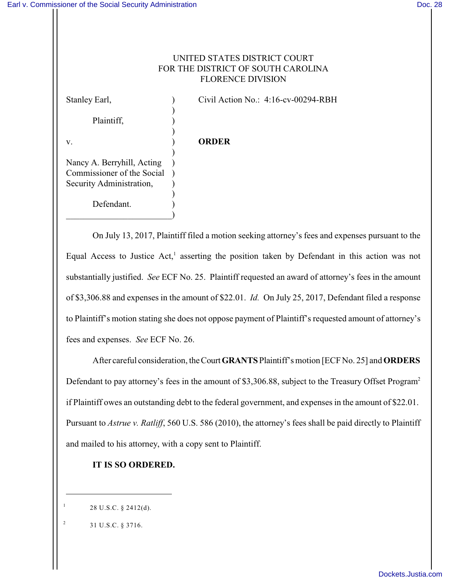## UNITED STATES DISTRICT COURT FOR THE DISTRICT OF SOUTH CAROLINA FLORENCE DIVISION

Plaintiff, (a)

Stanley Earl,  $\qquad \qquad$  (ivil Action No.: 4:16-cv-00294-RBH)

v. ) **ORDER**

)

)

)

)

Nancy A. Berryhill, Acting ) Commissioner of the Social ) Security Administration, ) Defendant.

 $\qquad \qquad \Box$ 

On July 13, 2017, Plaintiff filed a motion seeking attorney's fees and expenses pursuant to the Equal Access to Justice Act,<sup>1</sup> asserting the position taken by Defendant in this action was not substantially justified. *See* ECF No. 25. Plaintiff requested an award of attorney's fees in the amount of \$3,306.88 and expenses in the amount of \$22.01. *Id.* On July 25, 2017, Defendant filed a response to Plaintiff's motion stating she does not oppose payment of Plaintiff's requested amount of attorney's fees and expenses. *See* ECF No. 26.

After careful consideration, theCourt **GRANTS**Plaintiff's motion [ECF No. 25] and **ORDERS** Defendant to pay attorney's fees in the amount of \$3,306.88, subject to the Treasury Offset Program<sup>2</sup> if Plaintiff owes an outstanding debt to the federal government, and expenses in the amount of \$22.01. Pursuant to *Astrue v. Ratliff*, 560 U.S. 586 (2010), the attorney's fees shall be paid directly to Plaintiff and mailed to his attorney, with a copy sent to Plaintiff.

## **IT IS SO ORDERED.**

- 28 U.S.C. § 2412(d).
- 31 U.S.C. § 3716. 2

1